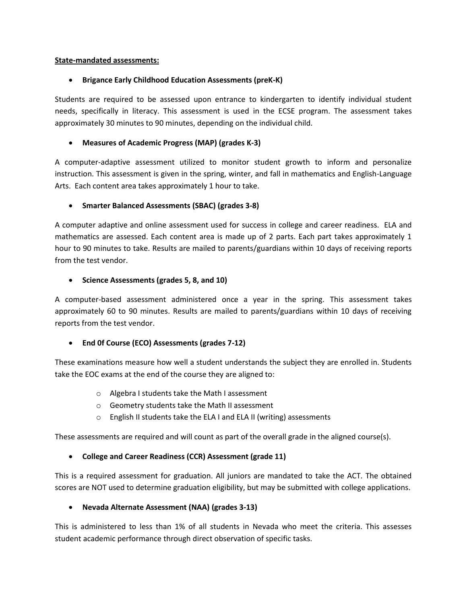#### **State-mandated assessments:**

# **Brigance Early Childhood Education Assessments (preK-K)**

Students are required to be assessed upon entrance to kindergarten to identify individual student needs, specifically in literacy. This assessment is used in the ECSE program. The assessment takes approximately 30 minutes to 90 minutes, depending on the individual child.

#### **Measures of Academic Progress (MAP) (grades K-3)**

A computer-adaptive assessment utilized to monitor student growth to inform and personalize instruction. This assessment is given in the spring, winter, and fall in mathematics and English-Language Arts. Each content area takes approximately 1 hour to take.

#### **Smarter Balanced Assessments (SBAC) (grades 3-8)**

A computer adaptive and online assessment used for success in college and career readiness. ELA and mathematics are assessed. Each content area is made up of 2 parts. Each part takes approximately 1 hour to 90 minutes to take. Results are mailed to parents/guardians within 10 days of receiving reports from the test vendor.

#### **Science Assessments (grades 5, 8, and 10)**

A computer-based assessment administered once a year in the spring. This assessment takes approximately 60 to 90 minutes. Results are mailed to parents/guardians within 10 days of receiving reports from the test vendor.

# **End 0f Course (ECO) Assessments (grades 7-12)**

These examinations measure how well a student understands the subject they are enrolled in. Students take the EOC exams at the end of the course they are aligned to:

- o Algebra I students take the Math I assessment
- o Geometry students take the Math II assessment
- o English II students take the ELA I and ELA II (writing) assessments

These assessments are required and will count as part of the overall grade in the aligned course(s).

# **College and Career Readiness (CCR) Assessment (grade 11)**

This is a required assessment for graduation. All juniors are mandated to take the ACT. The obtained scores are NOT used to determine graduation eligibility, but may be submitted with college applications.

# **Nevada Alternate Assessment (NAA) (grades 3-13)**

This is administered to less than 1% of all students in Nevada who meet the criteria. This assesses student academic performance through direct observation of specific tasks.